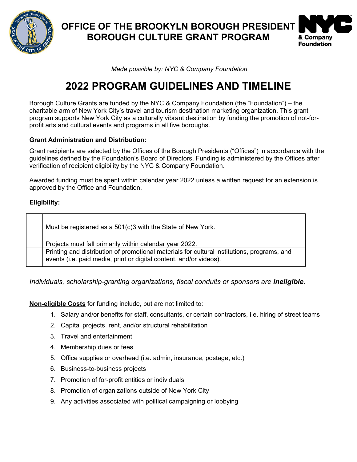

**OFFICE OF THE BROOKYLN BOROUGH PRESIDENT BOROUGH CULTURE GRANT PROGRAM**



*Made possible by: NYC & Company Foundation*

# **2022 PROGRAM GUIDELINES AND TIMELINE**

Borough Culture Grants are funded by the NYC & Company Foundation (the "Foundation") – the charitable arm of New York City's travel and tourism destination marketing organization. This grant program supports New York City as a culturally vibrant destination by funding the promotion of not-forprofit arts and cultural events and programs in all five boroughs.

## **Grant Administration and Distribution:**

Grant recipients are selected by the Offices of the Borough Presidents ("Offices") in accordance with the guidelines defined by the Foundation's Board of Directors. Funding is administered by the Offices after verification of recipient eligibility by the NYC & Company Foundation.

Awarded funding must be spent within calendar year 2022 unless a written request for an extension is approved by the Office and Foundation.

### **Eligibility:**

| Must be registered as a 501(c)3 with the State of New York.                                                                                                       |
|-------------------------------------------------------------------------------------------------------------------------------------------------------------------|
| Projects must fall primarily within calendar year 2022.                                                                                                           |
| Printing and distribution of promotional materials for cultural institutions, programs, and<br>events (i.e. paid media, print or digital content, and/or videos). |

*Individuals, scholarship-granting organizations, fiscal conduits or sponsors are ineligible.*

**Non-eligible Costs** for funding include, but are not limited to:

- 1. Salary and/or benefits for staff, consultants, or certain contractors, i.e. hiring of street teams
- 2. Capital projects, rent, and/or structural rehabilitation
- 3. Travel and entertainment
- 4. Membership dues or fees
- 5. Office supplies or overhead (i.e. admin, insurance, postage, etc.)
- 6. Business-to-business projects
- 7. Promotion of for-profit entities or individuals
- 8. Promotion of organizations outside of New York City
- 9. Any activities associated with political campaigning or lobbying